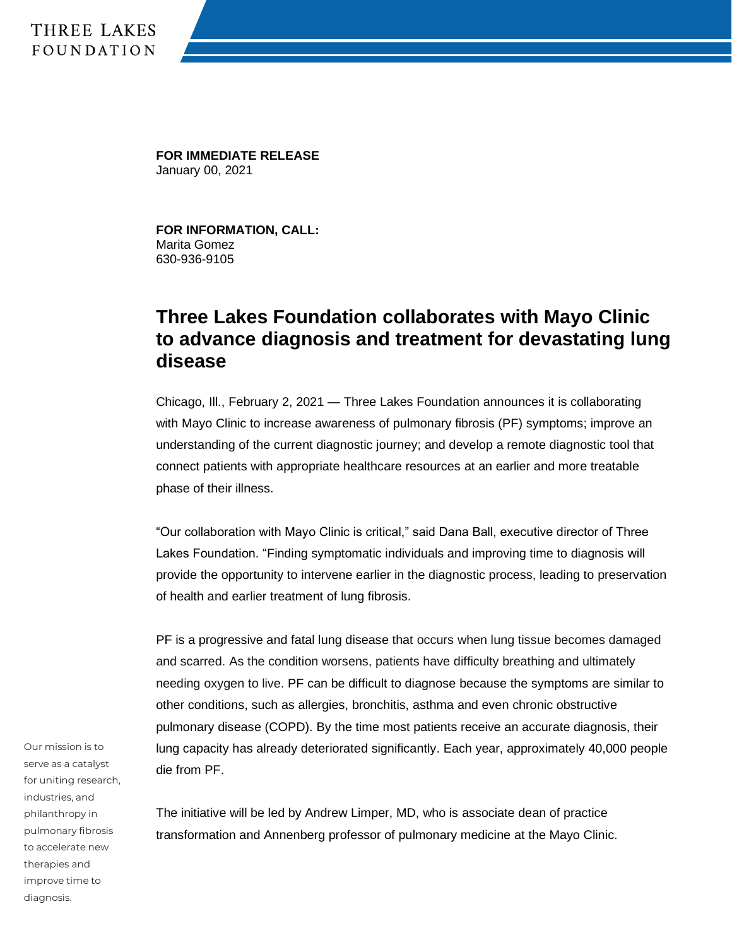## THREE LAKES **FOUNDATION**

**FOR IMMEDIATE RELEASE** January 00, 2021

**FOR INFORMATION, CALL:** Marita Gomez 630-936-9105

## **Three Lakes Foundation collaborates with Mayo Clinic to advance diagnosis and treatment for devastating lung disease**

Chicago, Ill., February 2, 2021 — Three Lakes Foundation announces it is collaborating with Mayo Clinic to increase awareness of pulmonary fibrosis (PF) symptoms; improve an understanding of the current diagnostic journey; and develop a remote diagnostic tool that connect patients with appropriate healthcare resources at an earlier and more treatable phase of their illness.

"Our collaboration with Mayo Clinic is critical," said Dana Ball, executive director of Three Lakes Foundation. "Finding symptomatic individuals and improving time to diagnosis will provide the opportunity to intervene earlier in the diagnostic process, leading to preservation of health and earlier treatment of lung fibrosis.

PF is a progressive and fatal lung disease that occurs when lung tissue becomes damaged and scarred. As the condition worsens, patients have difficulty breathing and ultimately needing oxygen to live. PF can be difficult to diagnose because the symptoms are similar to other conditions, such as allergies, bronchitis, asthma and even chronic obstructive pulmonary disease (COPD). By the time most patients receive an accurate diagnosis, their lung capacity has already deteriorated significantly. Each year, approximately 40,000 people die from PF.

The initiative will be led by Andrew Limper, MD, who is associate dean of practice transformation and Annenberg professor of pulmonary medicine at the Mayo Clinic.

Our mission is to serve as a catalyst for uniting research, industries, and philanthropy in pulmonary fibrosis to accelerate new therapies and improve time to diagnosis.